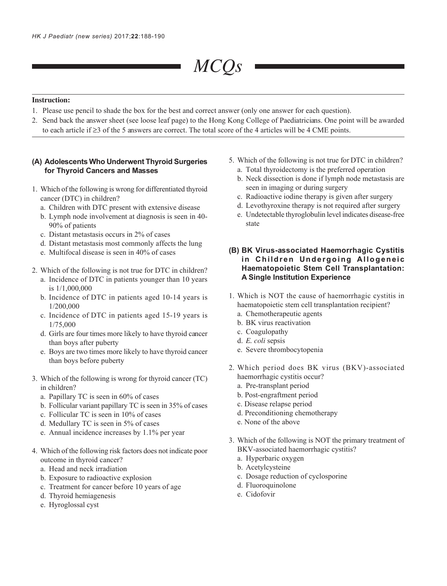# *MCQs*

## **Instruction:**

- 1. Please use pencil to shade the box for the best and correct answer (only one answer for each question).
- 2. Send back the answer sheet (see loose leaf page) to the Hong Kong College of Paediatricians. One point will be awarded to each article if ≥3 of the 5 answers are correct. The total score of the 4 articles will be 4 CME points.

## **(A) Adolescents Who Underwent Thyroid Surgeries for Thyroid Cancers and Masses**

- 1. Which of the following is wrong for differentiated thyroid cancer (DTC) in children?
	- a. Children with DTC present with extensive disease
	- b. Lymph node involvement at diagnosis is seen in 40- 90% of patients
	- c. Distant metastasis occurs in 2% of cases
	- d. Distant metastasis most commonly affects the lung
	- e. Multifocal disease is seen in 40% of cases
- 2. Which of the following is not true for DTC in children?
	- a. Incidence of DTC in patients younger than 10 years is 1/1,000,000
	- b. Incidence of DTC in patients aged 10-14 years is 1/200,000
	- c. Incidence of DTC in patients aged 15-19 years is 1/75,000
	- d. Girls are four times more likely to have thyroid cancer than boys after puberty
	- e. Boys are two times more likely to have thyroid cancer than boys before puberty
- 3. Which of the following is wrong for thyroid cancer (TC) in children?
	- a. Papillary TC is seen in 60% of cases
	- b. Follicular variant papillary TC is seen in 35% of cases
	- c. Follicular TC is seen in 10% of cases
	- d. Medullary TC is seen in 5% of cases
	- e. Annual incidence increases by 1.1% per year
- 4. Which of the following risk factors does not indicate poor outcome in thyroid cancer?
	- a. Head and neck irradiation
	- b. Exposure to radioactive explosion
	- c. Treatment for cancer before 10 years of age
	- d. Thyroid hemiagenesis
	- e. Hyroglossal cyst
- 5. Which of the following is not true for DTC in children? a. Total thyroidectomy is the preferred operation
	- b. Neck dissection is done if lymph node metastasis are seen in imaging or during surgery
	- c. Radioactive iodine therapy is given after surgery
	- d. Levothyroxine therapy is not required after surgery
	- e. Undetectable thyroglobulin level indicates disease-free state
- **(B) BK Virus-associated Haemorrhagic Cystitis in Children Undergoing Allogeneic Haematopoietic Stem Cell Transplantation: A Single Institution Experience**
- 1. Which is NOT the cause of haemorrhagic cystitis in haematopoietic stem cell transplantation recipient?
	- a. Chemotherapeutic agents
	- b. BK virus reactivation
	- c. Coagulopathy
	- d. *E. coli* sepsis
	- e. Severe thrombocytopenia
- 2. Which period does BK virus (BKV)-associated haemorrhagic cystitis occur?
	- a. Pre-transplant period
	- b. Post-engraftment period
	- c. Disease relapse period
	- d. Preconditioning chemotherapy
	- e. None of the above
- 3. Which of the following is NOT the primary treatment of BKV-associated haemorrhagic cystitis?
	- a. Hyperbaric oxygen
	- b. Acetylcysteine
	- c. Dosage reduction of cyclosporine
	- d. Fluoroquinolone
	- e. Cidofovir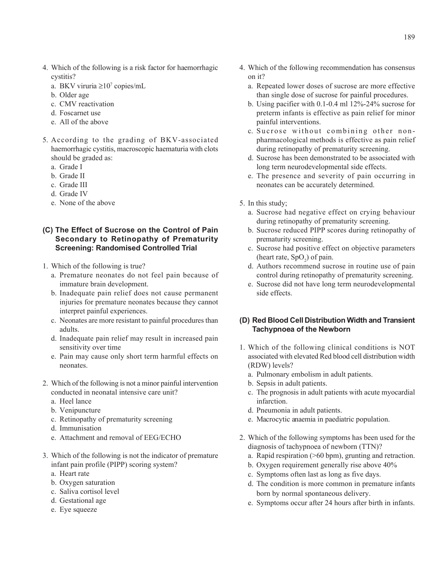- 4. Which of the following is a risk factor for haemorrhagic cystitis?
	- a. BKV viruria ≥107 copies/mL
	- b. Older age
	- c. CMV reactivation
	- d. Foscarnet use
	- e. All of the above
- 5. According to the grading of BKV-associated haemorrhagic cystitis, macroscopic haematuria with clots should be graded as:
	- a. Grade I
	- b. Grade II
	- c. Grade III
	- d. Grade IV
	- e. None of the above

# **(C) The Effect of Sucrose on the Control of Pain Secondary to Retinopathy of Prematurity Screening: Randomised Controlled Trial**

- 1. Which of the following is true?
	- a. Premature neonates do not feel pain because of immature brain development.
	- b. Inadequate pain relief does not cause permanent injuries for premature neonates because they cannot interpret painful experiences.
	- c. Neonates are more resistant to painful procedures than adults.
	- d. Inadequate pain relief may result in increased pain sensitivity over time
	- e. Pain may cause only short term harmful effects on neonates.
- 2. Which of the following is not a minor painful intervention conducted in neonatal intensive care unit?
	- a. Heel lance
	- b. Venipuncture
	- c. Retinopathy of prematurity screening
	- d. Immunisation
	- e. Attachment and removal of EEG/ECHO
- 3. Which of the following is not the indicator of premature infant pain profile (PIPP) scoring system?
	- a. Heart rate
	- b. Oxygen saturation
	- c. Saliva cortisol level
	- d. Gestational age
	- e. Eye squeeze
- 4. Which of the following recommendation has consensus on it?
	- a. Repeated lower doses of sucrose are more effective than single dose of sucrose for painful procedures.
	- b. Using pacifier with 0.1-0.4 ml 12%-24% sucrose for preterm infants is effective as pain relief for minor painful interventions.
	- c. Sucrose without combining other nonpharmacological methods is effective as pain relief during retinopathy of prematurity screening.
	- d. Sucrose has been demonstrated to be associated with long term neurodevelopmental side effects.
	- e. The presence and severity of pain occurring in neonates can be accurately determined.
- 5. In this study;
	- a. Sucrose had negative effect on crying behaviour during retinopathy of prematurity screening.
	- b. Sucrose reduced PIPP scores during retinopathy of prematurity screening.
	- c. Sucrose had positive effect on objective parameters (heart rate,  $SpO<sub>2</sub>$ ) of pain.
	- d. Authors recommend sucrose in routine use of pain control during retinopathy of prematurity screening.
	- e. Sucrose did not have long term neurodevelopmental side effects.

## **(D) Red Blood Cell Distribution Width and Transient Tachypnoea of the Newborn**

- 1. Which of the following clinical conditions is NOT associated with elevated Red blood cell distribution width (RDW) levels?
	- a. Pulmonary embolism in adult patients.
	- b. Sepsis in adult patients.
	- c. The prognosis in adult patients with acute myocardial infarction.
	- d. Pneumonia in adult patients.
	- e. Macrocytic anaemia in paediatric population.
- 2. Which of the following symptoms has been used for the diagnosis of tachypnoea of newborn (TTN)?
	- a. Rapid respiration (>60 bpm), grunting and retraction.
	- b. Oxygen requirement generally rise above 40%
	- c. Symptoms often last as long as five days.
	- d. The condition is more common in premature infants born by normal spontaneous delivery.
	- e. Symptoms occur after 24 hours after birth in infants.